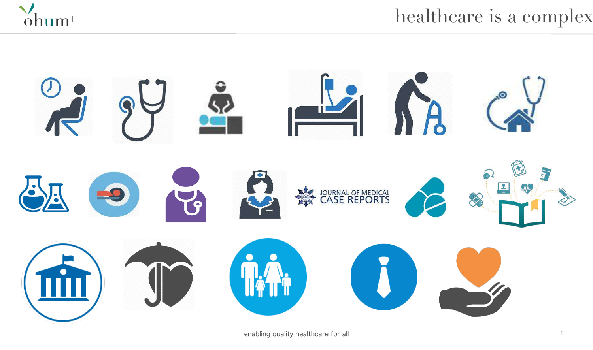

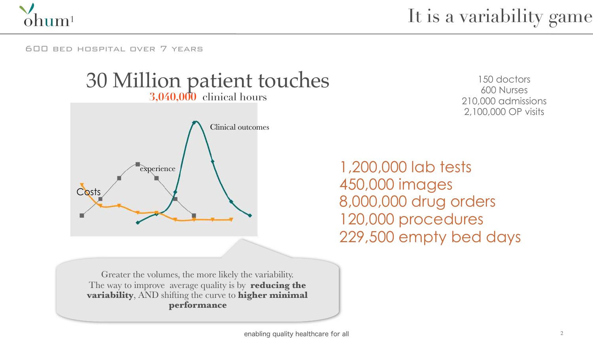

It is a variability game

#### 600 bed hospital over 7 years



150 doctors 600 Nurses 210,000 admissions 2,100,000 OP visits

1,200,000 lab tests 450,000 images 8,000,000 drug orders 120,000 procedures 229,500 empty bed days

Greater the volumes, the more likely the variability. The way to improve average quality is by **reducing the variability**, AND shifting the curve to **higher minimal performance**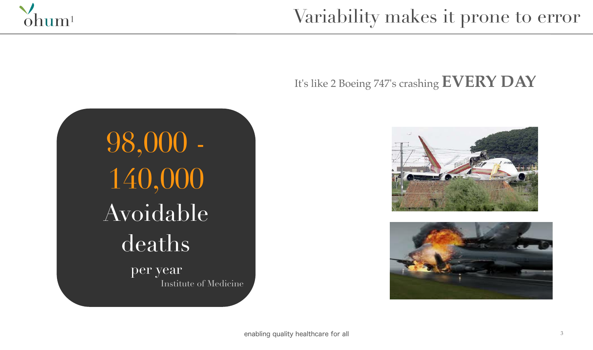

## Variability makes it prone to error

### It's like 2 Boeing 747's crashing **EVERY DAY**





98,000 - 140,000 Avoidable deaths per year

Institute of Medicine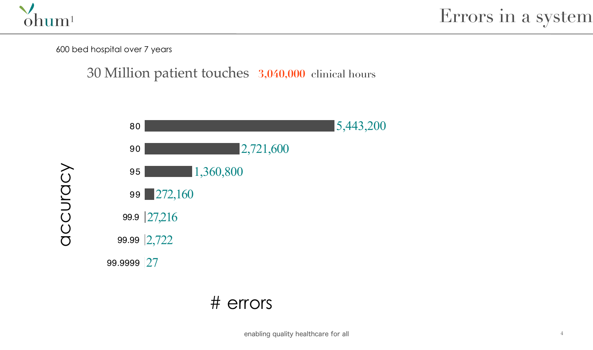

**ACCULOCY** 

accuracy

Errors in a system

600 bed hospital over 7 years

### 30 Million patient touches **3,040,000** clinical hours



### # errors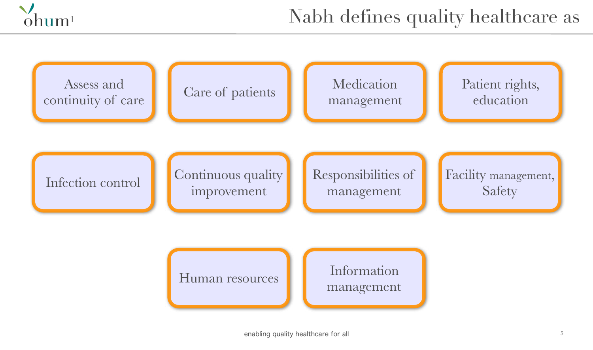

# Nabh defines quality healthcare as